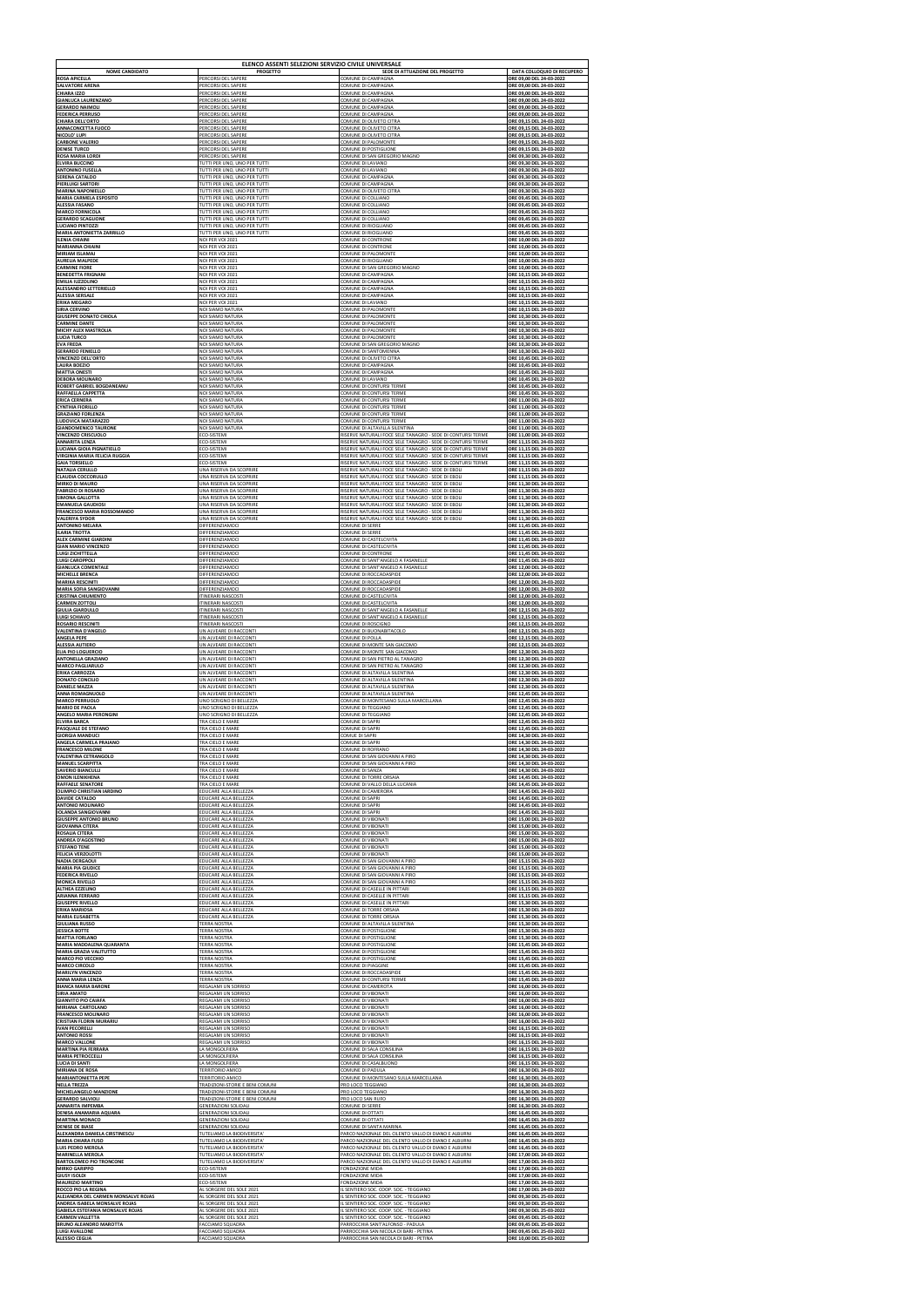|                                         | ELENCO ASSENTI SELEZIONI SERVIZIO CIVILE UNIVERSALE        |                                                                                  |                                                      |
|-----------------------------------------|------------------------------------------------------------|----------------------------------------------------------------------------------|------------------------------------------------------|
| <b>NOME CANDIDATO</b>                   | <b>PROGETTO</b>                                            | SEDE DI ATTUAZIONE DEL PROGETTO                                                  | DATA COLLOQUIO DI RECUPERO                           |
| <b>ROSA APICELLA</b>                    | PERCORSI DEL SAPERE                                        | COMUNE DI CAMPAGNA                                                               | ORE 09,00 DEL 24-03-2022                             |
| <b>SALVATORE ARENA</b>                  | PERCORSI DEL SAPERE                                        | COMUNE DI CAMPAGNA                                                               | ORE 09,00 DEL 24-03-2022                             |
| <b>CHIARA IZZO</b>                      | PERCORSI DEL SAPERE                                        | COMUNE DI CAMPAGNA                                                               | ORE 09,00 DEL 24-03-2022                             |
| <b>GIANLUCA LAURENZANO</b>              | PERCORSI DEL SAPERE                                        | COMUNE DI CAMPAGNA                                                               | ORE 09,00 DEL 24-03-2022                             |
| <b>GERARDO NAIMOLI</b>                  | PERCORSI DEL SAPERE                                        | COMUNE DI CAMPAGNA                                                               | ORE 09,00 DEL 24-03-2022                             |
| <b>FEDERICA PERRUSO</b>                 | PERCORSI DEL SAPERE                                        | COMUNE DI CAMPAGNA                                                               | ORE 09,00 DEL 24-03-2022                             |
| <b>CHIARA DELL'ORTO</b>                 | PERCORSI DEL SAPERE                                        | COMUNE DI OLIVETO CITRA                                                          | ORE 09,15 DEL 24-03-2022                             |
| <b>ANNACONCETTA FUOCO</b>               | PERCORSI DEL SAPERE                                        | COMUNE DI OLIVETO CITRA                                                          | ORE 09,15 DEL 24-03-2022                             |
| NICOLO' LUPI                            | PERCORSI DEL SAPERE                                        | COMUNE DI OLIVETO CITRA                                                          | ORE 09,15 DEL 24-03-2022                             |
| <b>CARBONE VALERIO</b>                  | PERCORSI DEL SAPERE                                        | COMUNE DI PALOMONTE                                                              | ORE 09,15 DEL 24-03-2022                             |
| <b>DENISE TURCO</b>                     | PERCORSI DEL SAPERE                                        | COMUNE DI POSTIGLIONE                                                            | ORE 09,15 DEL 24-03-2022                             |
| <b>ROSA MARIA LORDI</b>                 | PERCORSI DEL SAPERE                                        | COMUNE DI SAN GREGORIO MAGNO                                                     | ORE 09,30 DEL 24-03-2022                             |
| <b>ELVIRA BUCCINO</b>                   | TUTTI PER UNO, UNO PER TUTTI                               | COMUNE DI LAVIANO                                                                | ORE 09,30 DEL 24-03-2022                             |
| <b>ANTONINO FUSELLA</b>                 | TUTTI PER UNO, UNO PER TUTTI                               | COMUNE DI LAVIANO                                                                | ORE 09,30 DEL 24-03-2022                             |
| <b>SERENA CATALDO</b>                   | TUTTI PER UNO, UNO PER TUTTI                               | COMUNE DI CAMPAGNA                                                               | ORE 09,30 DEL 24-03-2022                             |
| <b>PIERLUIGI SARTORI</b>                | TUTTI PER UNO, UNO PER TUTTI                               | COMUNE DI CAMPAGNA                                                               | ORE 09,30 DEL 24-03-2022                             |
| <b>MARINA NAPONIELLO</b>                | TUTTI PER UNO, UNO PER TUTTI                               | COMUNE DI OLIVETO CITRA                                                          | ORE 09,30 DEL 24-03-2022                             |
| <b>MARIA CARMELA ESPOSITO</b>           | TUTTI PER UNO, UNO PER TUTTI                               | COMUNE DI COLLIANO                                                               | ORE 09,45 DEL 24-03-2022                             |
| <b>ALESSIA FASANO</b>                   | TUTTI PER UNO, UNO PER TUTTI                               | COMUNE DI COLLIANO                                                               | ORE 09,45 DEL 24-03-2022                             |
| <b>MARCO FORNICOLA</b>                  | TUTTI PER UNO, UNO PER TUTTI                               | COMUNE DI COLLIANO                                                               | ORE 09,45 DEL 24-03-2022                             |
| <b>GERARDO SCAGLIONE</b>                | TUTTI PER UNO, UNO PER TUTTI                               | COMUNE DI COLLIANO                                                               | ORE 09,45 DEL 24-03-2022                             |
| <b>LUCIANO PINTOZZI</b>                 | TUTTI PER UNO, UNO PER TUTTI                               | COMUNE DI RICIGLIANO                                                             | ORE 09,45 DEL 24-03-2022                             |
| <b>MARIA ANTONIETTA ZARRILLO</b>        | TUTTI PER UNO, UNO PER TUTTI                               | COMUNE DI RICIGLIANO                                                             | ORE 09,45 DEL 24-03-2022                             |
| <b>ILENIA CHIAINI</b>                   | NOI PER VOI 2021                                           | COMUNE DI CONTRONE                                                               | ORE 10,00 DEL 24-03-2022                             |
| <b>MARIANNA CHIAINI</b>                 | NOI PER VOI 2021                                           | COMUNE DI CONTRONE                                                               | ORE 10,00 DEL 24-03-2022                             |
| <b>MIRIAM ISLAMAJ</b>                   | NOI PER VOI 2021                                           | COMUNE DI PALOMONTE                                                              | ORE 10,00 DEL 24-03-2022                             |
| <b>AURELIA MALPEDE</b>                  | NOI PER VOI 2021                                           | COMUNE DI RICIGLIANO                                                             | ORE 10,00 DEL 24-03-2022                             |
| <b>CARMINE FIORE</b>                    | NOI PER VOI 2021                                           | COMUNE DI SAN GREGORIO MAGNO                                                     | ORE 10,00 DEL 24-03-2022                             |
| <b>BENEDETTA FRIGNANI</b>               | NOI PER VOI 2021                                           | COMUNE DI CAMPAGNA                                                               | ORE 10,15 DEL 24-03-2022                             |
| <b>EMILIA IUZZOLINO</b>                 | NOI PER VOI 2021                                           | COMUNE DI CAMPAGNA                                                               | ORE 10,15 DEL 24-03-2022                             |
| ALESSANDRO LETTERIELLO                  | NOI PER VOI 2021                                           | COMUNE DI CAMPAGNA                                                               | ORE 10,15 DEL 24-03-2022                             |
| <b>ALESSIA SERSALE</b>                  | NOI PER VOI 2021                                           | COMUNE DI CAMPAGNA                                                               | ORE 10,15 DEL 24-03-2022                             |
| <b>ERIKA MEGARO</b>                     | NOI PER VOI 2021                                           | COMUNE DI LAVIANO                                                                | ORE 10,15 DEL 24-03-2022                             |
| <b>SIRIA CERVINO</b>                    | NOI SIAMO NATURA                                           | COMUNE DI PALOMONTE                                                              | ORE 10,15 DEL 24-03-2022                             |
| <b>GIUSEPPE DONATO CHIOLA</b>           | NOI SIAMO NATURA                                           | COMUNE DI PALOMONTE                                                              | ORE 10,30 DEL 24-03-2022                             |
| <b>CARMINE DANTE</b>                    | NOI SIAMO NATURA                                           | COMUNE DI PALOMONTE                                                              | ORE 10,30 DEL 24-03-2022                             |
| MICHY ALEX MASTROLIA                    | NOI SIAMO NATURA                                           | COMUNE DI PALOMONTE                                                              | ORE 10,30 DEL 24-03-2022                             |
| <b>LUCIA TURCO</b>                      | NOI SIAMO NATURA                                           | COMUNE DI PALOMONTE                                                              | ORE 10,30 DEL 24-03-2022                             |
| <b>EVA FREDA</b>                        | NOI SIAMO NATURA                                           | COMUNE DI SAN GREGORIO MAGNO                                                     | ORE 10,30 DEL 24-03-2022                             |
| <b>GERARDO FENIELLO</b>                 | NOI SIAMO NATURA                                           | COMUNE DI SANTOMENNA                                                             | ORE 10,30 DEL 24-03-2022                             |
| <b>VINCENZO DELL'ORTO</b>               | NOI SIAMO NATURA                                           | COMUNE DI OLIVETO CITRA                                                          | ORE 10,45 DEL 24-03-2022                             |
| <b>LAURA BOEZIO</b>                     | NOI SIAMO NATURA                                           | COMUNE DI CAMPAGNA                                                               | ORE 10,45 DEL 24-03-2022                             |
| <b>MATTIA ONESTI</b>                    | NOI SIAMO NATURA                                           | COMUNE DI CAMPAGNA                                                               | ORE 10,45 DEL 24-03-2022                             |
| <b>DEBORA MOLINARO</b>                  | NOI SIAMO NATURA                                           | COMUNE DI LAVIANO                                                                | ORE 10,45 DEL 24-03-2022                             |
| ROBERT GABRIEL BOGDANEANU               | NOI SIAMO NATURA                                           | COMUNE DI CONTURSI TERME                                                         | ORE 10,45 DEL 24-03-2022                             |
| RAFFAELLA CAPPETTA                      | NOI SIAMO NATURA                                           | COMUNE DI CONTURSI TERME                                                         | ORE 10,45 DEL 24-03-2022                             |
| <b>ERICA CERNERA</b>                    | NOI SIAMO NATURA                                           | COMUNE DI CONTURSI TERME                                                         | ORE 11,00 DEL 24-03-2022                             |
| <b>CYNTHIA FIORILLO</b>                 | NOI SIAMO NATURA                                           | COMUNE DI CONTURSI TERME                                                         | ORE 11,00 DEL 24-03-2022                             |
| <b>GRAZIANO FORLENZA</b>                | NOI SIAMO NATURA                                           | COMUNE DI CONTURSI TERME                                                         | ORE 11,00 DEL 24-03-2022                             |
| <b>LUDOVICA MATARAZZO</b>               | NOI SIAMO NATURA                                           | COMUNE DI CONTURSI TERME                                                         | ORE 11,00 DEL 24-03-2022                             |
| <b>GIANDOMENICO TAURONE</b>             | NOI SIAMO NATURA                                           | COMUNE DI ALTAVILLA SILENTINA                                                    | ORE 11,00 DEL 24-03-2022                             |
| <b>VINCENZO CRISCUOLO</b>               | ECO-SISTEMI                                                | RISERVE NATURALI FOCE SELE TANAGRO - SEDE DI CONTURSI TERME                      | ORE 11,00 DEL 24-03-2022                             |
| <b>ANNARITA LENZA</b>                   | ECO-SISTEMI                                                | RISERVE NATURALI FOCE SELE TANAGRO - SEDE DI CONTURSI TERME                      | ORE 11,15 DEL 24-03-2022                             |
| LUCIANA GIOIA PIGNATIELLO               | ECO-SISTEMI                                                | RISERVE NATURALI FOCE SELE TANAGRO - SEDE DI CONTURSI TERME                      | ORE 11,15 DEL 24-03-2022                             |
| VIRGINIA MARIA FELICIA RUGGIA           | ECO-SISTEMI                                                | RISERVE NATURALI FOCE SELE TANAGRO - SEDE DI CONTURSI TERME                      | ORE 11,15 DEL 24-03-2022                             |
| <b>GAIA TORSIELLO</b>                   | ECO-SISTEMI                                                | RISERVE NATURALI FOCE SELE TANAGRO - SEDE DI CONTURSI TERME                      | ORE 11,15 DEL 24-03-2022                             |
| <b>NATALIA CERULLO</b>                  | UNA RISERVA DA SCOPRIRE                                    | RISERVE NATURALI FOCE SELE TANAGRO - SEDE DI EBOLI                               | ORE 11,15 DEL 24-03-2022                             |
| <b>CLAUDIA COCCORULLO</b>               | UNA RISERVA DA SCOPRIRE                                    | RISERVE NATURALI FOCE SELE TANAGRO - SEDE DI EBOLI                               | ORE 11,15 DEL 24-03-2022                             |
| <b>MIRKO DI MAURO</b>                   | UNA RISERVA DA SCOPRIRE                                    | RISERVE NATURALI FOCE SELE TANAGRO - SEDE DI EBOLI                               | ORE 11,30 DEL 24-03-2022                             |
| <b>FABRIZIO DI ROSARIO</b>              | UNA RISERVA DA SCOPRIRE                                    | RISERVE NATURALI FOCE SELE TANAGRO - SEDE DI EBOLI                               | ORE 11,30 DEL 24-03-2022                             |
| <b>SIMONA GALLOTTA</b>                  | UNA RISERVA DA SCOPRIRE                                    | RISERVE NATURALI FOCE SELE TANAGRO - SEDE DI EBOLI                               | ORE 11,30 DEL 24-03-2022                             |
| <b>EMANUELA GAUDIOSI</b>                | UNA RISERVA DA SCOPRIRE                                    | RISERVE NATURALI FOCE SELE TANAGRO - SEDE DI EBOLI                               | ORE 11,30 DEL 24-03-2022                             |
| <b>FRANCESCO MARIA ROSSOMANDO</b>       | UNA RISERVA DA SCOPRIRE                                    | RISERVE NATURALI FOCE SELE TANAGRO - SEDE DI EBOL                                | ORE 11,30 DEL 24-03-2022                             |
| <b>VALERIYA SYDOR</b>                   | UNA RISERVA DA SCOPRIRE                                    | RISERVE NATURALI FOCE SELE TANAGRO - SEDE DI EBOL                                | ORE 11,30 DEL 24-03-2022                             |
| <b>ANTONINO MELARA</b>                  | DIFFERENZIAMOCI                                            | COMUNE DI SERRE                                                                  | ORE 11,45 DEL 24-03-2022                             |
| <b>ILARIA TROTTA</b>                    | DIFFERENZIAMOCI                                            | COMUNE DI SERRE                                                                  | ORE 11,45 DEL 24-03-2022                             |
| <b>ALEX CARMINE GIARDINI</b>            | DIFFERENZIAMOCI                                            | COMUNE DI CASTELCIVITA                                                           | ORE 11,45 DEL 24-03-2022                             |
| <b>GIAN MARIO VINCENZO</b>              | DIFFERENZIAMOCI                                            | COMUNE DI CASTELCIVITA                                                           | <b>ORE 11,45 DEL 24-03-2022</b>                      |
| LUIGI ZICHITTELLA                       | DIFFERENZIAMOCI                                            | COMUNE DI CONTRONE                                                               | ORE 11,45 DEL 24-03-2022                             |
| <b>LUIGI CAROPPOLI</b>                  | DIFFERENZIAMOCI                                            | COMUNE DI SANT'ANGELO A FASANELLE                                                | ORE 11,45 DEL 24-03-2022                             |
| <b>GIANLUCA COMENTALE</b>               | DIFFERENZIAMOCI                                            | COMUNE DI SANT'ANGELO A FASANELLE                                                | ORE 12,00 DEL 24-03-2022                             |
| MICHELLE BRENCA                         | DIFFERENZIAMOCI                                            | COMUNE DI ROCCADASPIDE                                                           | ORE 12,00 DEL 24-03-2022                             |
| <b>MARIKA RESCINITI</b>                 | DIFFERENZIAMOCI                                            | COMUNE DI ROCCADASPIDE                                                           | ORE 12,00 DEL 24-03-2022                             |
| <b>MARIA SOFIA SANGIOVANNI</b>          | DIFFERENZIAMOCI                                            | COMUNE DI ROCCADASPIDE                                                           | ORE 12,00 DEL 24-03-2022                             |
| <b>CRISTINA CHIUMENTO</b>               | <b>ITINERARI NASCOSTI</b>                                  | COMUNE DI CASTELCIVITA                                                           | ORE 12.00 DEL 24-03-2022                             |
| <b>CARMEN ZOTTOLI</b>                   | <b>ITINERARI NASCOSTI</b>                                  | COMUNE DI CASTELCIVITA                                                           | ORE 12,00 DEL 24-03-2022                             |
| <b>GIULIA GIARDULLO</b>                 | <b>ITINERARI NASCOSTI</b>                                  | COMUNE DI SANT'ANGELO A FASANELLE                                                | ORE 12,15 DEL 24-03-2022                             |
| <b>LUIGI SCHIAVO</b>                    | <b>ITINERARI NASCOSTI</b>                                  | COMUNE DI SANT'ANGELO A FASANELLE                                                | ORE 12,15 DEL 24-03-2022                             |
| <b>ROSARIO RESCINITI</b>                | <b>ITINERARI NASCOSTI</b>                                  | COMUNE DI ROSCIGNO                                                               |                                                      |
| <b>VALENTINA D'ANGELO</b>               | UN ALVEARE DI RACCONTI                                     | COMUNE DI BUONABITACOLO                                                          | ORE 12,15 DEL 24-03-2022<br>ORE 12,15 DEL 24-03-2022 |
| <b>ANGELA PEPE</b>                      | UN ALVEARE DI RACCONTI                                     | COMUNE DI POLLA                                                                  | ORE 12,15 DEL 24-03-2022                             |
| <b>ALESSIA AUTIERO</b>                  | UN ALVEARE DI RACCONTI                                     | COMUNE DI MONTE SAN GIACOMO                                                      | ORE 12,15 DEL 24-03-2022                             |
| <b>ELIA PIO LOGUERCIO</b>               | UN ALVEARE DI RACCONTI                                     | COMUNE DI MONTE SAN GIACOMO                                                      | ORE 12,30 DEL 24-03-2022                             |
| <b>ANTONELLA GRAZIANO</b>               | UN ALVEARE DI RACCONTI                                     | COMUNE DI SAN PIETRO AL TANAGRO                                                  | ORE 12,30 DEL 24-03-2022                             |
| <b>MARCO PAGLIARULO</b>                 | UN ALVEARE DI RACCONTI                                     | COMUNE DI SAN PIETRO AL TANAGRO                                                  | ORE 12,30 DEL 24-03-2022                             |
| <b>ERIKA CARROZZA</b>                   | UN ALVEARE DI RACCONTI                                     | COMUNE DI ALTAVILLA SILENTINA                                                    | ORE 12,30 DEL 24-03-2022                             |
| <b>DONATO CONCILIO</b>                  | UN ALVEARE DI RACCONTI                                     | COMUNE DI ALTAVILLA SILENTINA                                                    | ORE 12,30 DEL 24-03-2022                             |
| <b>DANIELE MAZZA</b>                    | UN ALVEARE DI RACCONTI                                     | COMUNE DI ALTAVILLA SILENTINA                                                    | ORE 12,30 DEL 24-03-2022                             |
| ANNA ROMAGNUOLO                         | UN ALVEARE DI RACCONTI                                     | COMUNE DI ALTAVILLA SILENTINA                                                    | ORE 12,45 DEL 24-03-2022                             |
| <b>MARCO PERRUOLO</b>                   | UNO SCRIGNO DI BELLEZZA                                    | COMUNE DI MONTESANO SULLA MARCELLANA                                             | ORE 12,45 DEL 24-03-2022                             |
| <b>MARIO DE PAOLA</b>                   | UNO SCRIGNO DI BELLEZZA                                    | COMUNE DI TEGGIANO                                                               | ORE 12,45 DEL 24-03-2022                             |
| ANGELO MARIA PERONGINI                  | UNO SCRIGNO DI BELLEZZA                                    | COMUNE DI TEGGIANO                                                               | ORE 12,45 DEL 24-03-2022                             |
| <b>ELVIRA BARCA</b>                     | TRA CIELO E MARE                                           | COMUNE DI SAPRI                                                                  | ORE 12,45 DEL 24-03-2022                             |
| PASQUALE DE STEFANO                     | TRA CIELO E MARE                                           | COMUNE DI SAPRI                                                                  | ORE 12,45 DEL 24-03-2022                             |
| <b>GIORGIA MANDUCI</b>                  | TRA CIELO E MARE                                           | COMUE DI SAPRI                                                                   | ORE 14,30 DEL 24-03-2022                             |
| ANGELA CARMELA PRAIANO                  | TRA CIELO E MARE                                           | COMUNE DI SAPRI                                                                  | ORE 14,30 DEL 24-03-2022                             |
| <b>FRANCESCO MILONE</b>                 | TRA CIELO E MARE                                           | COMUNE DI ROFRANO                                                                | ORE 14,30 DEL 24-03-2022                             |
| <b>VALENTINA CETRANGOLO</b>             | TRA CIELO E MARE                                           | COMUNE DI SAN GIOVANNI A PIRO                                                    | ORE 14,30 DEL 24-03-2022                             |
| <b>MANUEL SCARPITTA</b>                 | TRA CIELO E MARE                                           | COMUNE DI SAN GIOVANNI A PIRO                                                    | ORE 14,30 DEL 24-03-2022                             |
| <b>SAVERIO BIANCULLI</b>                | TRA CIELO E MARE                                           | COMUNE DI SANZA                                                                  | ORE 14,30 DEL 24-03-2022                             |
| <b>OMON ILENIKHENA</b>                  | TRA CIELO E MARE                                           | COMUNE DI TORRE ORSAIA                                                           | ORE 14,45 DEL 24-03-2022                             |
| <b>RAFFAELE SENATORE</b>                | TRA CIELO E MARE                                           | COMUNE DI VALLO DELLA LUCANIA                                                    | ORE 14,45 DEL 24-03-2022                             |
| OLIMPIO CHRISTIAN IARDINO               | EDUCARE ALLA BELLEZZA                                      | COMUNE DI CAMERORA                                                               | ORE 14,45 DEL 24-03-2022                             |
| <b>DAVIDE CATALDO</b>                   | EDUCARE ALLA BELLEZZA                                      | COMUNE DI SAPRI                                                                  | ORE 14,45 DEL 24-03-2022                             |
| <b>ANTONIO MOLINARO</b>                 | EDUCARE ALLA BELLEZZA                                      | COMUNE DI SAPRI                                                                  | ORE 14,45 DEL 24-03-2022                             |
| <b>IOLANDA SANGIOVANNI</b>              | EDUCARE ALLA BELLEZZA                                      | COMUNE DI SAPRI                                                                  | ORE 14,45 DEL 24-03-2022                             |
| <b>GIUSEPPE ANTONIO BRUNO</b>           | EDUCARE ALLA BELLEZZA                                      | COMUNE DI VIBONATI                                                               | ORE 15,00 DEL 24-03-2022                             |
| <b>GIOVANNA CITERA</b>                  | EDUCARE ALLA BELLEZZA                                      | COMUNE DI VIBONATI                                                               | ORE 15,00 DEL 24-03-2022                             |
| <b>ROSALIA CITERA</b>                   | EDUCARE ALLA BELLEZZA                                      | COMUNE DI VIBONATI                                                               | ORE 15,00 DEL 24-03-2022                             |
| <b>ANDREA D'AGOSTINO</b>                | EDUCARE ALLA BELLEZZA                                      | COMUNE DI VIBONATI                                                               | ORE 15,00 DEL 24-03-2022                             |
| <b>STEFANO TENE</b>                     | EDUCARE ALLA BELLEZZA                                      | COMUNE DI VIBONATI                                                               | ORE 15,00 DEL 24-03-2022                             |
| <b>FELICIA VERZOLOTTI</b>               | EDUCARE ALLA BELLEZZA                                      | COMUNE DI VIBONATI                                                               | ORE 15,00 DEL 24-03-2022                             |
| <b>NADIA DERGAOUI</b>                   | EDUCARE ALLA BELLEZZA                                      | COMUNE DI SAN GIOVANNI A PIRO                                                    | ORE 15,15 DEL 24-03-2022                             |
| <b>MARIA PIA GIUDICE</b>                | EDUCARE ALLA BELLEZZA                                      | COMUNE DI SAN GIOVANNI A PIRO                                                    | ORE 15,15 DEL 24-03-2022                             |
| <b>FEDERICA RIVELLO</b>                 | EDUCARE ALLA BELLEZZA                                      | COMUNE DI SAN GIOVANNI A PIRO                                                    | ORE 15,15 DEL 24-03-2022                             |
| <b>MONICA RIVELLO</b>                   | EDUCARE ALLA BELLEZZA                                      | COMUNE DI SAN GIOVANNI A PIRO                                                    | ORE 15,15 DEL 24-03-2022                             |
| <b>ALTHEA EZZELINO</b>                  | EDUCARE ALLA BELLEZZA                                      | COMUNE DI CASELLE IN PITTARI                                                     | ORE 15,15 DEL 24-03-2022                             |
| <b>ARIANNA FERRARO</b>                  | EDUCARE ALLA BELLEZZA                                      | COMUNE DI CASELLE IN PITTARI                                                     | ORE 15,15 DEL 24-03-2022                             |
| <b>GIUSEPPE RIVELLO</b>                 | EDUCARE ALLA BELLEZZA                                      | COMUNE DI CASELLE IN PITTARI                                                     | ORE 15,30 DEL 24-03-2022                             |
| <b>ERIKA MARIOSA</b>                    | EDUCARE ALLA BELLEZZA                                      | COMUNE DI TORRE ORSAIA                                                           | ORE 15,30 DEL 24-03-2022                             |
| <b>MARIA ELISABETTA</b>                 | EDUCARE ALLA BELLEZZA                                      | COMUNE DI TORRE ORSAIA                                                           | ORE 15,30 DEL 24-03-2022                             |
| <b>GIULIANA RUSSO</b>                   | TERRA NOSTRA                                               | COMUNE DI ALTAVILLA SILENTINA                                                    | ORE 15,30 DEL 24-03-2022                             |
| <b>JESSICA BOTTE</b>                    | <b>TERRA NOSTRA</b>                                        | COMUNE DI POSTIGLIONE                                                            | ORE 15,30 DEL 24-03-2022                             |
| <b>MATTIA FORLANO</b>                   | <b>TERRA NOSTRA</b>                                        | COMUNE DI POSTIGLIONE                                                            | ORE 15,30 DEL 24-03-2022                             |
| MARIA MADDALENA QUARANTA                | <b>TERRA NOSTRA</b>                                        | COMUNE DI POSTIGLIONE                                                            | ORE 15,45 DEL 24-03-2022                             |
| <b>MARIA GRAZIA VALITUTTO</b>           | TERRA NOSTRA                                               | COMUNE DI POSTIGLIONE                                                            | ORE 15,45 DEL 24-03-2022                             |
| <b>MARCO PIO VECCHIO</b>                | <b>TERRA NOSTRA</b>                                        | COMUNE DI POSTIGLIONE                                                            | ORE 15,45 DEL 24-03-2022                             |
| <b>MARCO CIRCOLO</b>                    | <b>TERRA NOSTRA</b>                                        | COMUNE DI PIAGGINE                                                               | ORE 15,45 DEL 24-03-2022                             |
| <b>MARILYN VINCENZO</b>                 | TERRA NOSTRA                                               | COMUNE DI ROCCADASPIDE                                                           | ORE 15,45 DEL 24-03-2022                             |
| <b>ANNA MARIA LENZA</b>                 | TERRA NOSTRA                                               | COMUNE DI CONTURSI TERME                                                         | ORE 15,45 DEL 24-03-2022                             |
| <b>BIANCA MARIA BARONE</b>              | REGALAMI UN SORRISO                                        | COMUNE DI CAMEROTA                                                               | ORE 16,00 DEL 24-03-2022                             |
| <b>SIRIA AMATO</b>                      | REGALAMI UN SORRISO                                        | COMUNE DI VIBONATI                                                               | ORE 16,00 DEL 24-03-2022                             |
| <b>GIANVITO PIO CAIAFA</b>              | REGALAMI UN SORRISO                                        | COMUNE DI VIBONATI                                                               | ORE 16,00 DEL 24-03-2022                             |
| MIRIANA CARTOLANO                       | REGALAMI UN SORRISO                                        | COMUNE DI VIBONATI                                                               | ORE 16,00 DEL 24-03-2022                             |
| <b>FRANCESCO MOLINARO</b>               | REGALAMI UN SORRISO                                        | COMUNE DI VIBONATI                                                               | ORE 16,00 DEL 24-03-2022                             |
| <b>CRISTIAN FLORIN MURARIU</b>          | REGALAMI UN SORRISO                                        | COMUNE DI VIBONATI                                                               | ORE 16,00 DEL 24-03-2022                             |
| <b>IVAN PECORELLI</b>                   | REGALAMI UN SORRISO                                        | COMUNE DI VIBONATI                                                               | ORE 16,15 DEL 24-03-2022                             |
| <b>ANTONIO ROSSI</b>                    | REGALAMI UN SORRISO                                        | COMUNE DI VIBONATI                                                               | ORE 16,15 DEL 24-03-2022                             |
| <b>MARCO VALLONE</b>                    | REGALAMI UN SORRISO                                        | COMUNE DI VIBONATI                                                               | ORE 16,15 DEL 24-03-2022                             |
| <b>MARTINA PIA FERRARA</b>              | LA MONGOLFIERA                                             | COMUNE DI SALA CONSILINA                                                         | ORE 16,15 DEL 24-03-2022                             |
| <b>MARIA PETROCCELLI</b>                | LA MONGOLFIERA                                             | COMUNE DI SALA CONSILINA                                                         | ORE 16,15 DEL 24-03-2022                             |
| <b>LUCIA DI SANTI</b>                   | LA MONGOLFIERA                                             | COMUNE DI CASALBUONO                                                             | ORE 16,15 DEL 24-03-2022                             |
| <b>MIRIANA DE ROSA</b>                  | TERRITORIO AMICO                                           | COMUNE DI PADULA                                                                 | ORE 16,30 DEL 24-03-2022                             |
| <b>MARIANTONIETTA PEPE</b>              | TERRITORIO AMICO                                           | COMUNE DI MONTESANO SULLA MARCELLANA                                             | ORE 16,30 DEL 24-03-2022                             |
| <b>NELLA TREZZA</b>                     | TRADIZIONI-STORIE E BENI COMUNI                            | PRO LOCO TEGGIANO                                                                | ORE 16,30 DEL 24-03-2022                             |
| <b>MICHELANGELO MANZIONE</b>            | TRADIZIONI-STORIE E BENI COMUNI                            | PRO LOCO TEGGIANO                                                                | ORE 16,30 DEL 24-03-2022                             |
| <b>GERARDO SALVIOLI</b>                 | TRADIZIONI-STORIE E BENI COMUNI                            | PRO LOCO SAN RUFO                                                                | ORE 16,30 DEL 24-03-2022                             |
| <b>ANNARITA IMPEMBA</b>                 | <b>GENERAZIONI SOLIDALI</b><br><b>GENERAZIONI SOLIDALI</b> | COMUNE DI SERRE                                                                  | ORE 16,30 DEL 24-03-2022                             |
| DENISA ANAMARIA AQUARA                  | <b>GENERAZIONI SOLIDALI</b>                                | COMUNE DI OTTATI                                                                 | ORE 16,45 DEL 24-03-2022                             |
| <b>MARTINA MONACO</b>                   |                                                            | COMUNE DI OTTATI                                                                 | ORE 16.45 DEL 24-03-2022                             |
| <b>DENISE DE BIASE</b>                  | <b>GENERAZIONI SOLIDALI</b>                                | COMUNE DI SANTA MARINA                                                           | ORE 16,45 DEL 24-03-2022                             |
| ALEXANDRA DANIELA CIRSTINESCU           | TUTELIAMO LA BIODIVERSITA'                                 | PARCO NAZIONALE DEL CILENTO VALLO DI DIANO E ALBURNI                             | ORE 16,45 DEL 24-03-2022                             |
| <b>MARIA CHIARA FUSO</b>                | TUTELIAMO LA BIODIVERSITA'                                 | PARCO NAZIONALE DEL CILENTO VALLO DI DIANO E ALBURNI                             | ORE 16,45 DEL 24-03-2022                             |
| <b>LUIS PEDRO MEROLA</b>                | TUTELIAMO LA BIODIVERSITA'                                 | PARCO NAZIONALE DEL CILENTO VALLO DI DIANO E ALBURNI                             | ORE 16,45 DEL 24-03-2022                             |
| <b>MARINELLA MEROLA</b>                 | TUTELIAMO LA BIODIVERSITA'                                 | PARCO NAZIONALE DEL CILENTO VALLO DI DIANO E ALBURNI                             | ORE 17,00 DEL 24-03-2022                             |
| <b>BARTOLOMEO PIO TRONCONE</b>          | TUTELIAMO LA BIODIVERSITA'                                 | PARCO NAZIONALE DEL CILENTO VALLO DI DIANO E ALBURNI                             | ORE 17,00 DEL 24-03-2022                             |
| <b>MIRKO GARIPPO</b>                    | ECO-SISTEMI                                                | FONDAZIONE MIDA                                                                  | ORE 17,00 DEL 24-03-2022                             |
| <b>GIUSY ISOLDI</b>                     | ECO-SISTEMI                                                | ONDAZIONE MIDA                                                                   | ORE 17,00 DEL 24-03-2022                             |
| <b>MAURIZIO MARTINO</b>                 | ECO-SISTEMI                                                | FONDAZIONE MIDA                                                                  | ORE 17,00 DEL 24-03-2022                             |
| ROCCO PIO LA REGINA                     | AL SORGERE DEL SOLE 2021                                   | IL SENTIERO SOC. COOP. SOC. - TEGGIANO                                           | ORE 17,00 DEL 24-03-2022                             |
| ALEJANDRA DEL CARMEN MONSALVE ROJAS     | AL SORGERE DEL SOLE 2021                                   | IL SENTIERO SOC. COOP. SOC. - TEGGIANO<br>IL SENTIERO SOC. COOP. SOC. - TEGGIANO | ORE 09,30 DEL 25-03-2022                             |
| ANDREA ISABELA MONSALVE ROJAS           | AL SORGERE DEL SOLE 2021                                   | IL SENTIERO SOC. COOP. SOC. - TEGGIANO                                           | ORE 09,30 DEL 25-03-2022                             |
| <b>GABIELA ESTEFANIA MONSALVE ROJAS</b> | AL SORGERE DEL SOLE 2021                                   |                                                                                  | ORE 09,30 DEL 25-03-2022                             |
|                                         |                                                            |                                                                                  |                                                      |
| <b>CARMEN VALLETTA</b>                  | AL SORGERE DEL SOLE 2021                                   | IL SENTIERO SOC. COOP. SOC. - TEGGIANO                                           | ORE 09,45 DEL 25-03-2022                             |
| <b>BRUNO ALEANDRO MAROTTA</b>           | FACCIAMO SQUADRA                                           | PARROCCHIA SANT'ALFONSO - PADULA                                                 | ORE 09,45 DEL 25-03-2022                             |
| <b>LUIGI AVALLONE</b>                   | FACCIAMO SQUADRA                                           | PARROCCHIA SAN NICOLA DI BARI - PETINA                                           | ORE 09,45 DEL 25-03-2022                             |